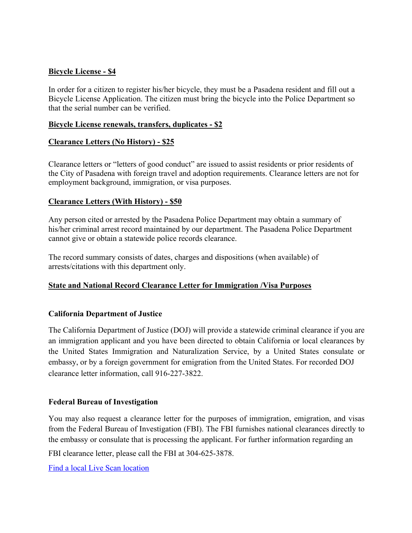## **Bicycle License - \$4**

In order for a citizen to register his/her bicycle, they must be a Pasadena resident and fill out a Bicycle License Application. The citizen must bring the bicycle into the Police Department so that the serial number can be verified.

#### **Bicycle License renewals, transfers, duplicates - \$2**

### **Clearance Letters (No History) - \$25**

Clearance letters or "letters of good conduct" are issued to assist residents or prior residents of the City of Pasadena with foreign travel and adoption requirements. Clearance letters are not for employment background, immigration, or visa purposes.

## **Clearance Letters (With History) - \$50**

Any person cited or arrested by the Pasadena Police Department may obtain a summary of his/her criminal arrest record maintained by our department. The Pasadena Police Department cannot give or obtain a statewide police records clearance.

The record summary consists of dates, charges and dispositions (when available) of arrests/citations with this department only.

## **State and National Record Clearance Letter for Immigration /Visa Purposes**

## **California Department of Justice**

The California Department of Justice (DOJ) will provide a statewide criminal clearance if you are an immigration applicant and you have been directed to obtain California or local clearances by the United States Immigration and Naturalization Service, by a United States consulate or embassy, or by a foreign government for emigration from the United States. For recorded DOJ clearance letter information, call 916-227-3822.

#### **Federal Bureau of Investigation**

You may also request a clearance letter for the purposes of immigration, emigration, and visas from the Federal Bureau of Investigation (FBI). The FBI furnishes national clearances directly to the embassy or consulate that is processing the applicant. For further information regarding an

FBI clearance letter, please call the FBI at 304-625-3878.

Find a local Live Scan location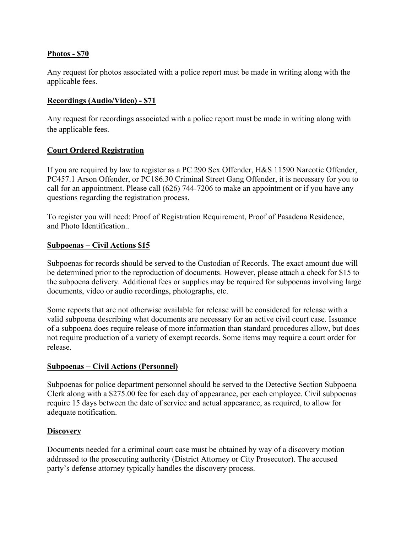## **Photos - \$70**

Any request for photos associated with a police report must be made in writing along with the applicable fees.

## **Recordings (Audio/Video) - \$71**

Any request for recordings associated with a police report must be made in writing along with the applicable fees.

### **Court Ordered Registration**

If you are required by law to register as a PC 290 Sex Offender, H&S 11590 Narcotic Offender, PC457.1 Arson Offender, or PC186.30 Criminal Street Gang Offender, it is necessary for you to call for an appointment. Please call (626) 744-7206 to make an appointment or if you have any questions regarding the registration process.

To register you will need: Proof of Registration Requirement, Proof of Pasadena Residence, and Photo Identification..

### **Subpoenas** – **Civil Actions \$15**

Subpoenas for records should be served to the Custodian of Records. The exact amount due will be determined prior to the reproduction of documents. However, please attach a check for \$15 to the subpoena delivery. Additional fees or supplies may be required for subpoenas involving large documents, video or audio recordings, photographs, etc.

Some reports that are not otherwise available for release will be considered for release with a valid subpoena describing what documents are necessary for an active civil court case. Issuance of a subpoena does require release of more information than standard procedures allow, but does not require production of a variety of exempt records. Some items may require a court order for release.

## **Subpoenas** – **Civil Actions (Personnel)**

Subpoenas for police department personnel should be served to the Detective Section Subpoena Clerk along with a \$275.00 fee for each day of appearance, per each employee. Civil subpoenas require 15 days between the date of service and actual appearance, as required, to allow for adequate notification.

## **Discovery**

Documents needed for a criminal court case must be obtained by way of a discovery motion addressed to the prosecuting authority (District Attorney or City Prosecutor). The accused party's defense attorney typically handles the discovery process.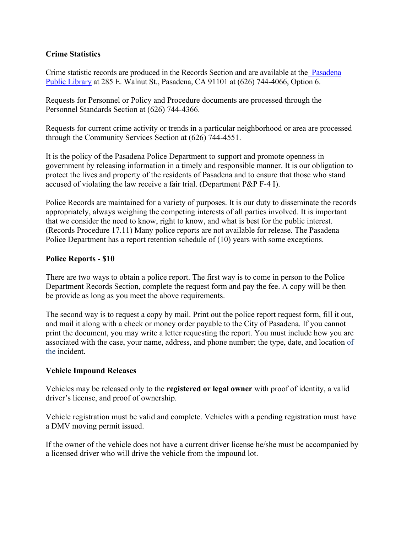## **Crime Statistics**

Crime statistic records are produced in the Records Section and are available at the Pasadena Public Library at 285 E. Walnut St., Pasadena, CA 91101 at (626) 744-4066, Option 6.

Requests for Personnel or Policy and Procedure documents are processed through the Personnel Standards Section at (626) 744-4366.

Requests for current crime activity or trends in a particular neighborhood or area are processed through the Community Services Section at (626) 744-4551.

It is the policy of the Pasadena Police Department to support and promote openness in government by releasing information in a timely and responsible manner. It is our obligation to protect the lives and property of the residents of Pasadena and to ensure that those who stand accused of violating the law receive a fair trial. (Department P&P F-4 I).

Police Records are maintained for a variety of purposes. It is our duty to disseminate the records appropriately, always weighing the competing interests of all parties involved. It is important that we consider the need to know, right to know, and what is best for the public interest. (Records Procedure 17.11) Many police reports are not available for release. The Pasadena Police Department has a report retention schedule of (10) years with some exceptions.

## **Police Reports - \$10**

There are two ways to obtain a police report. The first way is to come in person to the Police Department Records Section, complete the request form and pay the fee. A copy will be then be provide as long as you meet the above requirements.

The second way is to request a copy by mail. Print out the police report request form, fill it out, and mail it along with a check or money order payable to the City of Pasadena. If you cannot print the document, you may write a letter requesting the report. You must include how you are associated with the case, your name, address, and phone number; the type, date, and location of the incident.

## **Vehicle Impound Releases**

Vehicles may be released only to the **registered or legal owner** with proof of identity, a valid driver's license, and proof of ownership.

Vehicle registration must be valid and complete. Vehicles with a pending registration must have a DMV moving permit issued.

If the owner of the vehicle does not have a current driver license he/she must be accompanied by a licensed driver who will drive the vehicle from the impound lot.